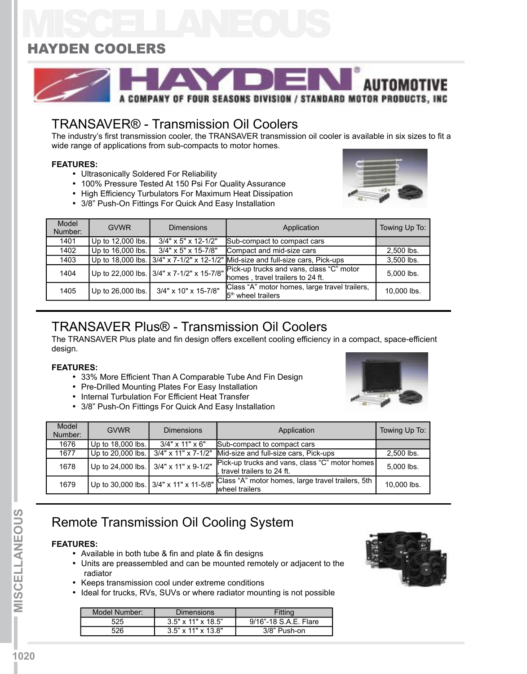# MISCELLANEOUS HAYDEN COOLERS



### TRANSAVER® - Transmission Oil Coolers

The industry's first transmission cooler, the TRANSAVER transmission oil cooler is available in six sizes to fit a wide range of applications from sub-compacts to motor homes.

### **FEATURES:**

- Ultrasonically Soldered For Reliability
- 100% Pressure Tested At 150 Psi For Quality Assurance
- High Efficiency Turbulators For Maximum Heat Dissipation
- 3/8" Push-On Fittings For Quick And Easy Installation



| Model<br>Number: | <b>GVWR</b>       | <b>Dimensions</b>      | Application                                                                                                            | Towing Up To: |
|------------------|-------------------|------------------------|------------------------------------------------------------------------------------------------------------------------|---------------|
| 1401             | Up to 12,000 lbs. | $3/4$ " x 5" x 12-1/2" | Sub-compact to compact cars                                                                                            |               |
| 1402             | Up to 16,000 lbs. | $3/4$ " x 5" x 15-7/8" | Compact and mid-size cars                                                                                              | 2,500 lbs.    |
| 1403             |                   |                        | Up to 18,000 lbs. $3/4$ " x 7-1/2" x 12-1/2" Mid-size and full-size cars, Pick-ups                                     | 3.500 lbs.    |
| 1404             |                   |                        | Up to 22,000 lbs. 3/4" x 7-1/2" x 15-7/8" Fick-up trucks and vans, class "C" motor<br>homes, travel trailers to 24 ft. | 5.000 lbs.    |
| 1405             | Up to 26,000 lbs. | 3/4" x 10" x 15-7/8"   | Class "A" motor homes, large travel trailers,<br>$5th$ wheel trailers                                                  | 10.000 lbs.   |

### TRANSAVER Plus® - Transmission Oil Coolers

The TRANSAVER Plus plate and fin design offers excellent cooling efficiency in a compact, space-efficient design.

#### **FEATURES:**

- 33% More Efficient Than A Comparable Tube And Fin Design
- Pre-Drilled Mounting Plates For Easy Installation
- Internal Turbulation For Efficient Heat Transfer
- 3/8" Push-On Fittings For Quick And Easy Installation



| Model<br>Number: | <b>GVWR</b>       | <b>Dimensions</b>                      | Application                                                                 | Towing Up To: |
|------------------|-------------------|----------------------------------------|-----------------------------------------------------------------------------|---------------|
| 1676             | Up to 18,000 lbs. | $3/4"$ x 11" x 6"                      | Sub-compact to compact cars                                                 |               |
| 1677             | Up to 20,000 lbs. | $3/4$ " x 11" x 7-1/2"                 | Mid-size and full-size cars, Pick-ups                                       | 2,500 lbs.    |
| 1678             |                   | Up to 24,000 lbs. 3/4" x 11" x 9-1/2"  | Pick-up trucks and vans, class "C" motor homes<br>travel trailers to 24 ft. | 5.000 lbs.    |
| 1679             |                   | Up to 30,000 lbs. 3/4" x 11" x 11-5/8" | Class "A" motor homes, large travel trailers, 5th<br>wheel trailers         | 10,000 lbs.   |

### Remote Transmission Oil Cooling System

#### **FEATURES:**

- Available in both tube & fin and plate & fin designs
- Units are preassembled and can be mounted remotely or adjacent to the radiator
- Keeps transmission cool under extreme conditions
- Ideal for trucks, RVs, SUVs or where radiator mounting is not possible

| Model Number: | Dimensions                     | Fitting               |
|---------------|--------------------------------|-----------------------|
| 525           | $3.5" \times 11" \times 18.5"$ | 9/16"-18 S.A.E. Flare |
| 526           | $3.5$ " x 11" x 13.8"          | $3/8$ " Push-on       |

**neous I**